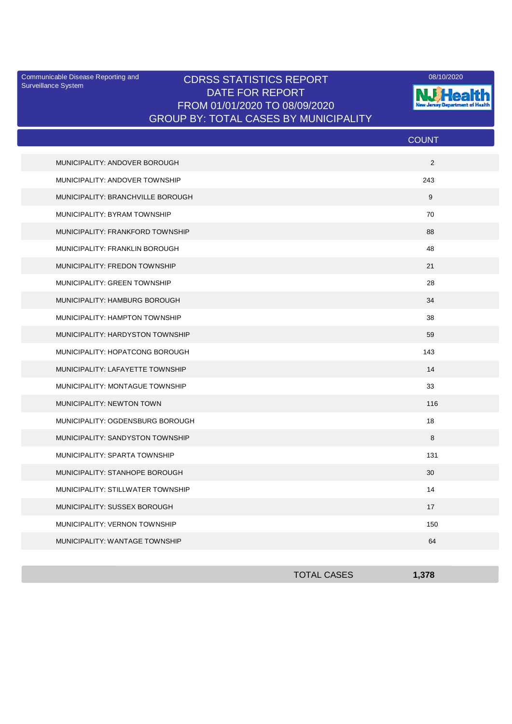Surveillance System

## Communicable Disease Reporting and CDRSS STATISTICS REPORT 2001 2020 2020 DATE FOR REPORT FROM 01/01/2020 TO 08/09/2020 GROUP BY: TOTAL CASES BY MUNICIPALITY



|                                   | <b>COUNT</b> |
|-----------------------------------|--------------|
| MUNICIPALITY: ANDOVER BOROUGH     | 2            |
| MUNICIPALITY: ANDOVER TOWNSHIP    | 243          |
| MUNICIPALITY: BRANCHVILLE BOROUGH | 9            |
| MUNICIPALITY: BYRAM TOWNSHIP      | 70           |
| MUNICIPALITY: FRANKFORD TOWNSHIP  | 88           |
| MUNICIPALITY: FRANKLIN BOROUGH    | 48           |
| MUNICIPALITY: FREDON TOWNSHIP     | 21           |
| MUNICIPALITY: GREEN TOWNSHIP      | 28           |
| MUNICIPALITY: HAMBURG BOROUGH     | 34           |
| MUNICIPALITY: HAMPTON TOWNSHIP    | 38           |
| MUNICIPALITY: HARDYSTON TOWNSHIP  | 59           |
| MUNICIPALITY: HOPATCONG BOROUGH   | 143          |
| MUNICIPALITY: LAFAYETTE TOWNSHIP  | 14           |
| MUNICIPALITY: MONTAGUE TOWNSHIP   | 33           |
| MUNICIPALITY: NEWTON TOWN         | 116          |
| MUNICIPALITY: OGDENSBURG BOROUGH  | 18           |
| MUNICIPALITY: SANDYSTON TOWNSHIP  | 8            |
| MUNICIPALITY: SPARTA TOWNSHIP     | 131          |
| MUNICIPALITY: STANHOPE BOROUGH    | 30           |
| MUNICIPALITY: STILLWATER TOWNSHIP | 14           |
| MUNICIPALITY: SUSSEX BOROUGH      | 17           |
| MUNICIPALITY: VERNON TOWNSHIP     | 150          |
| MUNICIPALITY: WANTAGE TOWNSHIP    | 64           |

| <b>TOTAL CASES</b> | 1,378 |
|--------------------|-------|
|                    |       |